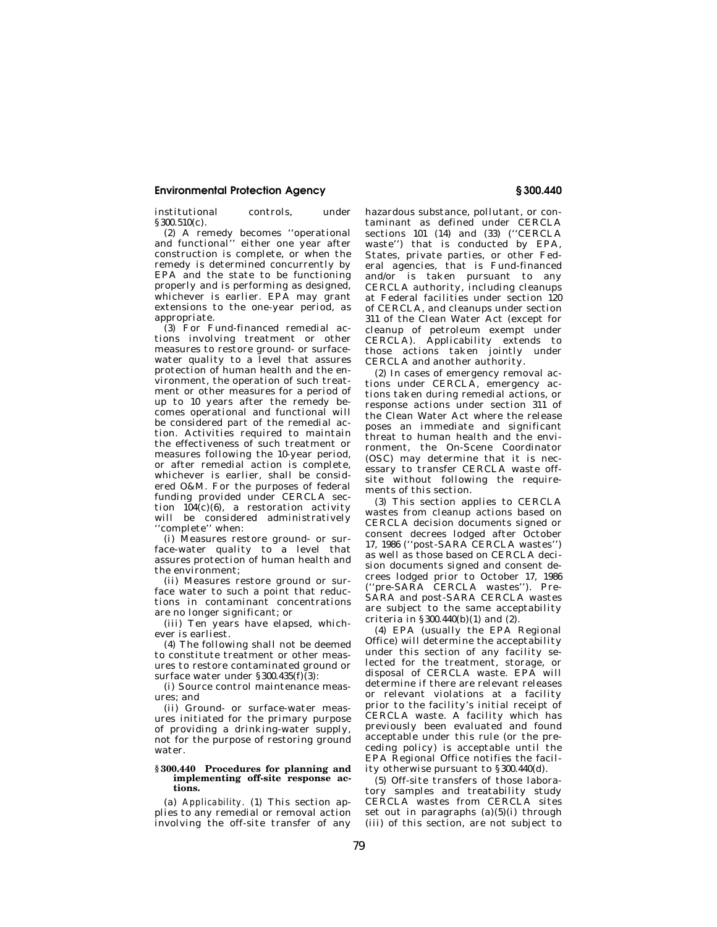## **Environmental Protection Agency**

institutional controls, under § 300.510(c).

(2) A remedy becomes ''operational and functional'' either one year after construction is complete, or when the remedy is determined concurrently by EPA and the state to be functioning properly and is performing as designed, whichever is earlier. EPA may grant extensions to the one-year period, as appropriate.

(3) For Fund-financed remedial actions involving treatment or other measures to restore ground- or surfacewater quality to a level that assures protection of human health and the environment, the operation of such treatment or other measures for a period of up to 10 years after the remedy becomes operational and functional will be considered part of the remedial action. Activities required to maintain the effectiveness of such treatment or measures following the 10-year period, or after remedial action is complete, whichever is earlier, shall be considered O&M. For the purposes of federal funding provided under CERCLA section  $104(c)(6)$ , a restoration activity will be considered administratively ''complete'' when:

(i) Measures restore ground- or surface-water quality to a level that assures protection of human health and the environment;

(ii) Measures restore ground or surface water to such a point that reductions in contaminant concentrations are no longer significant; or

(iii) Ten years have elapsed, whichever is earliest.

(4) The following shall not be deemed to constitute treatment or other measures to restore contaminated ground or surface water under  $\S 300.435(f)(3)$ :

(i) Source control maintenance measures; and

(ii) Ground- or surface-water measures initiated for the primary purpose of providing a drinking-water supply, not for the purpose of restoring ground water.

## **§ 300.440 Procedures for planning and implementing off-site response actions.**

(a) *Applicability.* (1) This section applies to any remedial or removal action involving the off-site transfer of any hazardous substance, pollutant, or contaminant as defined under CERCLA sections 101 (14) and (33) (''CERCLA waste'') that is conducted by EPA, States, private parties, or other Federal agencies, that is Fund-financed and/or is taken pursuant to any CERCLA authority, including cleanups at Federal facilities under section 120 of CERCLA, and cleanups under section 311 of the Clean Water Act (except for cleanup of petroleum exempt under CERCLA). Applicability extends to those actions taken jointly under CERCLA and another authority.

(2) In cases of emergency removal actions under CERCLA, emergency actions taken during remedial actions, or response actions under section 311 of the Clean Water Act where the release poses an immediate and significant threat to human health and the environment, the On-Scene Coordinator (OSC) may determine that it is necessary to transfer CERCLA waste offsite without following the requirements of this section.

(3) This section applies to CERCLA wastes from cleanup actions based on CERCLA decision documents signed or consent decrees lodged after October 17, 1986 (''post-SARA CERCLA wastes'') as well as those based on CERCLA decision documents signed and consent decrees lodged prior to October 17, 1986 (''pre-SARA CERCLA wastes''). Pre-SARA and post-SARA CERCLA wastes are subject to the same acceptability criteria in § 300.440(b)(1) and  $(2)$ .

(4) EPA (usually the EPA Regional Office) will determine the acceptability under this section of any facility selected for the treatment, storage, or disposal of CERCLA waste. EPA will determine if there are relevant releases or relevant violations at a facility prior to the facility's initial receipt of CERCLA waste. A facility which has previously been evaluated and found acceptable under this rule (or the preceding policy) is acceptable until the EPA Regional Office notifies the facility otherwise pursuant to § 300.440(d).

(5) Off-site transfers of those laboratory samples and treatability study CERCLA wastes from CERCLA sites set out in paragraphs  $(a)(5)(i)$  through (iii) of this section, are not subject to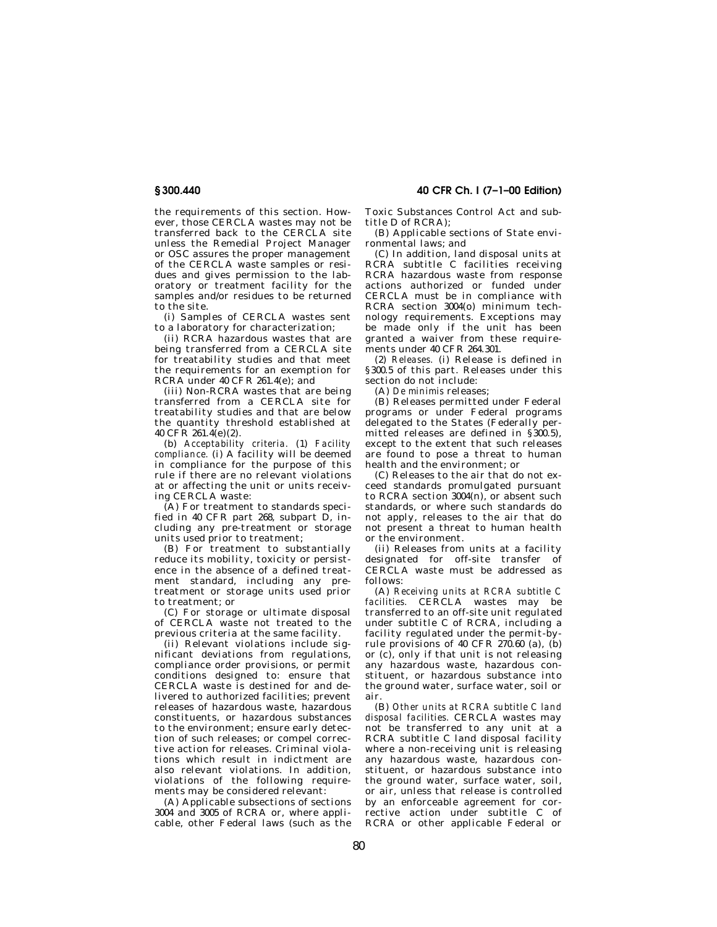the requirements of this section. However, those CERCLA wastes may not be transferred back to the CERCLA site unless the Remedial Project Manager or OSC assures the proper management of the CERCLA waste samples or residues and gives permission to the laboratory or treatment facility for the samples and/or residues to be returned to the site.

(i) Samples of CERCLA wastes sent to a laboratory for characterization;

(ii) RCRA hazardous wastes that are being transferred from a CERCLA site for treatability studies and that meet the requirements for an exemption for RCRA under 40 CFR 261.4(e); and

(iii) Non-RCRA wastes that are being transferred from a CERCLA site for treatability studies and that are below the quantity threshold established at 40 CFR  $261.4(e)(2)$ .

(b) *Acceptability criteria.* (1) *Facility compliance.* (i) A facility will be deemed in compliance for the purpose of this rule if there are no relevant violations at or affecting the unit or units receiving CERCLA waste:

(A) For treatment to standards specified in 40 CFR part 268, subpart D, including any pre-treatment or storage units used prior to treatment;

(B) For treatment to substantially reduce its mobility, toxicity or persistence in the absence of a defined treatment standard, including any pretreatment or storage units used prior to treatment; or

(C) For storage or ultimate disposal of CERCLA waste not treated to the previous criteria at the same facility.

(ii) Relevant violations include significant deviations from regulations, compliance order provisions, or permit conditions designed to: ensure that CERCLA waste is destined for and delivered to authorized facilities; prevent releases of hazardous waste, hazardous constituents, or hazardous substances to the environment; ensure early detection of such releases; or compel corrective action for releases. Criminal violations which result in indictment are also relevant violations. In addition, violations of the following requirements may be considered relevant:

(A) Applicable subsections of sections 3004 and 3005 of RCRA or, where applicable, other Federal laws (such as the **40 CFR Ch. I (7–1–00 Edition)** 

Toxic Substances Control Act and subtitle D of RCRA);

(B) Applicable sections of State environmental laws; and

(C) In addition, land disposal units at RCRA subtitle C facilities receiving RCRA hazardous waste from response actions authorized or funded under CERCLA must be in compliance with RCRA section 3004(o) minimum technology requirements. Exceptions may be made only if the unit has been granted a waiver from these requirements under 40 CFR 264.301.

(2) *Releases.* (i) Release is defined in § 300.5 of this part. Releases under this section do not include:

(A) *De minimis* releases;

(B) Releases permitted under Federal programs or under Federal programs delegated to the States (Federally permitted releases are defined in  $\S 300.5$ ), except to the extent that such releases are found to pose a threat to human health and the environment; or

(C) Releases to the air that do not exceed standards promulgated pursuant to RCRA section  $3004(n)$ , or absent such standards, or where such standards do not apply, releases to the air that do not present a threat to human health or the environment.

(ii) Releases from units at a facility designated for off-site transfer of CERCLA waste must be addressed as follows:

(A) *Receiving units at RCRA subtitle C facilities.* CERCLA wastes may be transferred to an off-site unit regulated under subtitle C of RCRA, including a facility regulated under the permit-byrule provisions of 40 CFR  $270.60$  (a),  $(b)$ or  $(c)$ , only if that unit is not releasing any hazardous waste, hazardous constituent, or hazardous substance into the ground water, surface water, soil or air.

(B) *Other units at RCRA subtitle C land disposal facilities.* CERCLA wastes may not be transferred to any unit at a RCRA subtitle C land disposal facility where a non-receiving unit is releasing any hazardous waste, hazardous constituent, or hazardous substance into the ground water, surface water, soil, or air, unless that release is controlled by an enforceable agreement for corrective action under subtitle C of RCRA or other applicable Federal or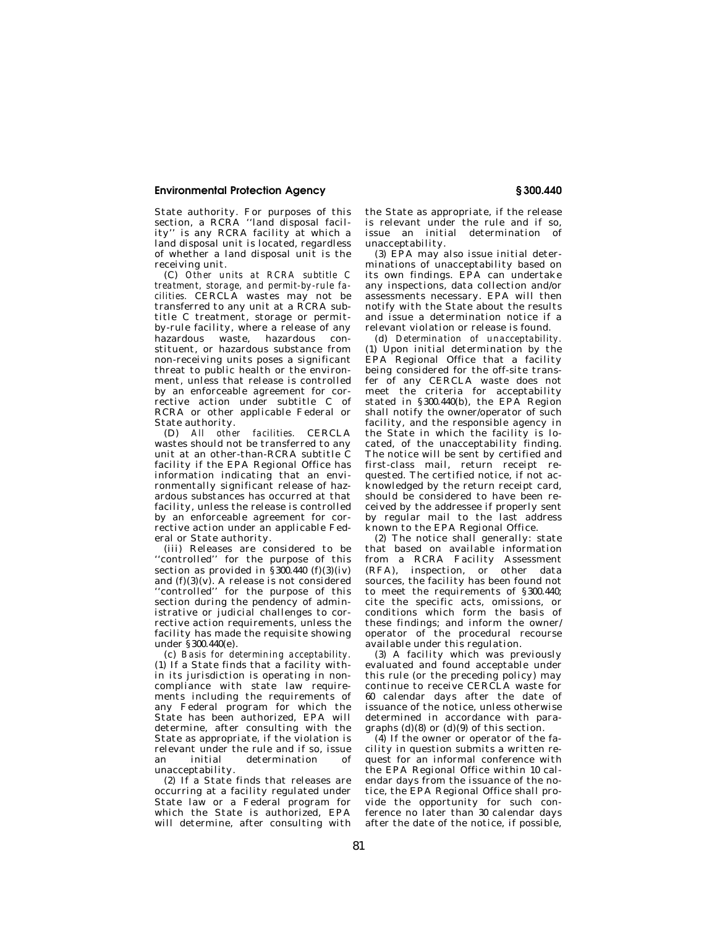## **Environmental Protection Agency**

State authority. For purposes of this section, a RCRA "land disposal facil-<br>ity" is any RCRA facility at which a is any RCRA facility at which a land disposal unit is located, regardless of whether a land disposal unit is the receiving unit.

(C) *Other units at RCRA subtitle C treatment, storage, and permit-by-rule facilities.* CERCLA wastes may not be transferred to any unit at a RCRA subtitle C treatment, storage or permitby-rule facility, where a release of any hazardous waste, hazardous constituent, or hazardous substance from non-receiving units poses a significant threat to public health or the environment, unless that release is controlled by an enforceable agreement for corrective action under subtitle C of RCRA or other applicable Federal or State authority.<br>(D) *All other* 

(D) *All other facilities.* CERCLA wastes should not be transferred to any unit at an other-than-RCRA subtitle C facility if the EPA Regional Office has information indicating that an environmentally significant release of hazardous substances has occurred at that facility, unless the release is controlled by an enforceable agreement for corrective action under an applicable Federal or State authority.

(iii) Releases are considered to be ''controlled'' for the purpose of this section as provided in  $\hat{\S}$  300.440 (f)(3)(iv) and  $(f)(3)(v)$ . A release is not considered ''controlled'' for the purpose of this section during the pendency of administrative or judicial challenges to corrective action requirements, unless the facility has made the requisite showing under § 300.440(e).

(c) *Basis for determining acceptability.*  (1) If a State finds that a facility within its jurisdiction is operating in noncompliance with state law requirements including the requirements of any Federal program for which the State has been authorized, EPA will determine, after consulting with the State as appropriate, if the violation is relevant under the rule and if so, issue<br>an initial determination of an initial determination of unacceptability.

(2) If a State finds that releases are occurring at a facility regulated under State law or a Federal program for which the State is authorized, EPA will determine, after consulting with

the State as appropriate, if the release is relevant under the rule and if so, issue an initial determination of unacceptability.

(3) EPA may also issue initial determinations of unacceptability based on its own findings. EPA can undertake any inspections, data collection and/or assessments necessary. EPA will then notify with the State about the results and issue a determination notice if a relevant violation or release is found.

(d) *Determination of unacceptability.*  (1) Upon initial determination by the EPA Regional Office that a facility being considered for the off-site transfer of any CERCLA waste does not meet the criteria for acceptability stated in  $§ 300.440(b)$ , the EPA Region shall notify the owner/operator of such facility, and the responsible agency in the State in which the facility is located, of the unacceptability finding. The notice will be sent by certified and first-class mail, return receipt requested. The certified notice, if not acknowledged by the return receipt card, should be considered to have been received by the addressee if properly sent by regular mail to the last address known to the EPA Regional Office.

(2) The notice shall generally: state that based on available information from a RCRA Facility Assessment (RFA), inspection, or other data sources, the facility has been found not to meet the requirements of § 300.440; cite the specific acts, omissions, or conditions which form the basis of these findings; and inform the owner/ operator of the procedural recourse available under this regulation.

(3) A facility which was previously evaluated and found acceptable under this rule (or the preceding policy) may continue to receive CERCLA waste for 60 calendar days after the date of issuance of the notice, unless otherwise determined in accordance with paragraphs  $(d)(8)$  or  $(d)(9)$  of this section.

(4) If the owner or operator of the facility in question submits a written request for an informal conference with the EPA Regional Office within 10 calendar days from the issuance of the notice, the EPA Regional Office shall provide the opportunity for such conference no later than 30 calendar days after the date of the notice, if possible,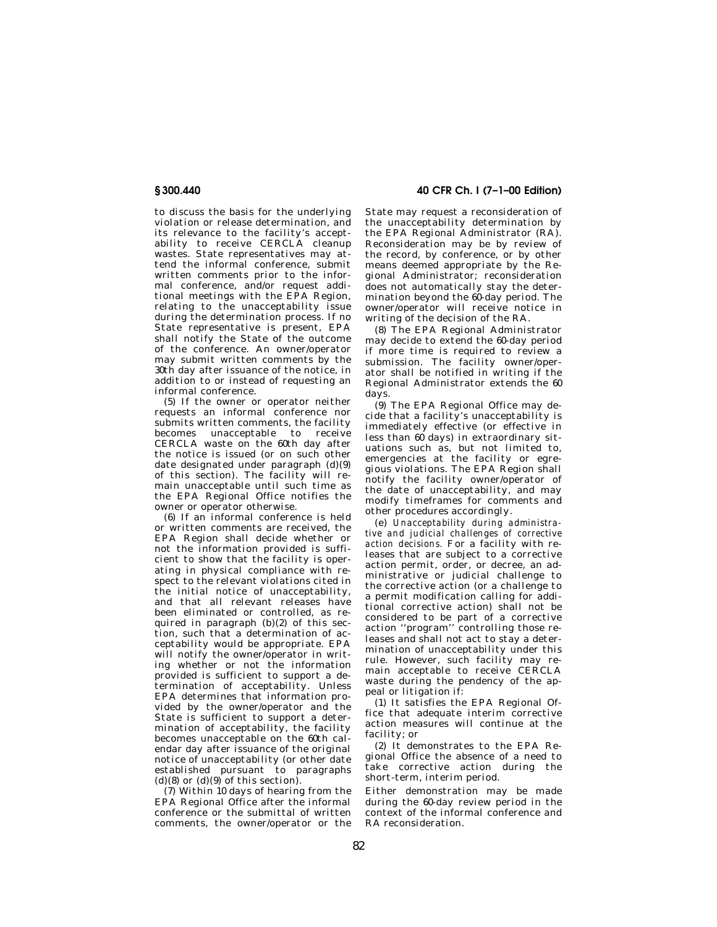to discuss the basis for the underlying violation or release determination, and its relevance to the facility's acceptability to receive CERCLA cleanup wastes. State representatives may attend the informal conference, submit written comments prior to the informal conference, and/or request additional meetings with the EPA Region, relating to the unacceptability issue during the determination process. If no State representative is present, EPA shall notify the State of the outcome of the conference. An owner/operator may submit written comments by the 30th day after issuance of the notice, in addition to or instead of requesting an informal conference.

(5) If the owner or operator neither requests an informal conference nor submits written comments, the facility becomes unacceptable to receive CERCLA waste on the 60th day after the notice is issued (or on such other date designated under paragraph (d)(9) of this section). The facility will remain unacceptable until such time as the EPA Regional Office notifies the owner or operator otherwise.

(6) If an informal conference is held or written comments are received, the EPA Region shall decide whether or not the information provided is sufficient to show that the facility is operating in physical compliance with respect to the relevant violations cited in the initial notice of unacceptability, and that all relevant releases have been eliminated or controlled, as required in paragraph  $(b)(2)$  of this section, such that a determination of acceptability would be appropriate. EPA will notify the owner/operator in writing whether or not the information provided is sufficient to support a de-.<br>termination of acceptability. Unless EPA determines that information provided by the owner/operator and the State is sufficient to support a determination of acceptability, the facility becomes unacceptable on the 60th calendar day after issuance of the original notice of unacceptability (or other date established pursuant to paragraphs (d)(8) or  $(d)(9)$  of this section).

(7) Within 10 days of hearing from the EPA Regional Office after the informal conference or the submittal of written comments, the owner/operator or the **40 CFR Ch. I (7–1–00 Edition)** 

State may request a reconsideration of the unacceptability determination by the EPA Regional Administrator (RA). Reconsideration may be by review of the record, by conference, or by other means deemed appropriate by the Regional Administrator; reconsideration does not automatically stay the determination beyond the  $60$ -day period. The owner/operator will receive notice in writing of the decision of the RA.

(8) The EPA Regional Administrator may decide to extend the 60-day period if more time is required to review a submission. The facility owner/operator shall be notified in writing if the Regional Administrator extends the 60 days.

(9) The EPA Regional Office may decide that a facility's unacceptability is immediately effective (or effective in less than 60 days) in extraordinary situations such as, but not limited to, emergencies at the facility or egregious violations. The EPA Region shall notify the facility owner/operator of the date of unacceptability, and may modify timeframes for comments and other procedures accordingly.

(e) *Unacceptability during administrative and judicial challenges of corrective action decisions.* For a facility with releases that are subject to a corrective action permit, order, or decree, an administrative or judicial challenge to the corrective action (or a challenge to a permit modification calling for additional corrective action) shall not be considered to be part of a corrective action ''program'' controlling those releases and shall not act to stay a determination of unacceptability under this rule. However, such facility may remain acceptable to receive CERCLA waste during the pendency of the appeal or litigation if:

(1) It satisfies the EPA Regional Office that adequate interim corrective action measures will continue at the facility; or

(2) It demonstrates to the EPA Regional Office the absence of a need to take corrective action during the short-term, interim period.

Either demonstration may be made during the 60-day review period in the context of the informal conference and RA reconsideration.